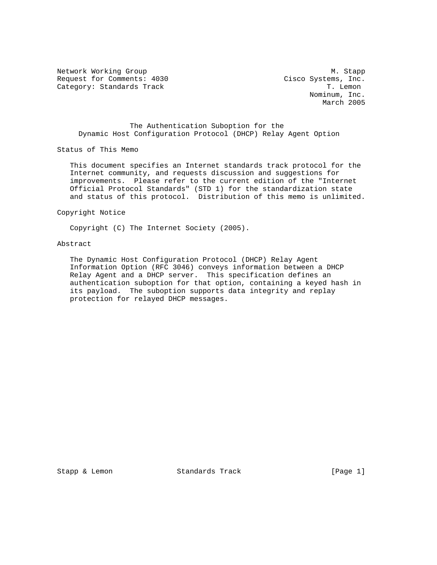Network Working Group Manuscript and Manuscript Manuscript Manuscript Manuscript Manuscript Manuscript Manuscri Request for Comments: 4030 Cisco Systems, Inc.<br>Category: Standards Track Track Track Track Track Track Track Category: Standards Track

 Nominum, Inc. March 2005

 The Authentication Suboption for the Dynamic Host Configuration Protocol (DHCP) Relay Agent Option

Status of This Memo

 This document specifies an Internet standards track protocol for the Internet community, and requests discussion and suggestions for improvements. Please refer to the current edition of the "Internet Official Protocol Standards" (STD 1) for the standardization state and status of this protocol. Distribution of this memo is unlimited.

Copyright Notice

Copyright (C) The Internet Society (2005).

# Abstract

 The Dynamic Host Configuration Protocol (DHCP) Relay Agent Information Option (RFC 3046) conveys information between a DHCP Relay Agent and a DHCP server. This specification defines an authentication suboption for that option, containing a keyed hash in its payload. The suboption supports data integrity and replay protection for relayed DHCP messages.

Stapp & Lemon Standards Track [Page 1]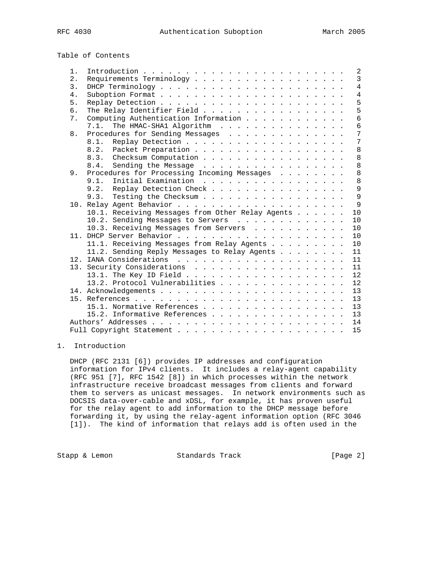Table of Contents

| 2.<br>$\overline{3}$ .<br>4.<br>5.<br>The Relay Identifier Field<br>б. | $\overline{3}$<br>$\overline{4}$<br>$\overline{4}$<br>5<br>5<br>6<br>6<br>7<br>7 |
|------------------------------------------------------------------------|----------------------------------------------------------------------------------|
|                                                                        |                                                                                  |
|                                                                        |                                                                                  |
|                                                                        |                                                                                  |
|                                                                        |                                                                                  |
|                                                                        |                                                                                  |
| Computing Authentication Information<br>7.                             |                                                                                  |
| The HMAC-SHA1 Algorithm<br>7.1.                                        |                                                                                  |
| Procedures for Sending Messages<br>8.                                  |                                                                                  |
| 8.1.                                                                   |                                                                                  |
| Packet Preparation<br>8.2.                                             | 8                                                                                |
| 8.3. Checksum Computation                                              | 8                                                                                |
| 8.4. Sending the Message                                               | 8                                                                                |
| Procedures for Processing Incoming Messages<br>9.                      | 8                                                                                |
| 9.1.<br>Initial Examination                                            | 8                                                                                |
| Replay Detection Check<br>9.2.                                         | 9                                                                                |
| Testing the Checksum<br>9.3.                                           | 9                                                                                |
|                                                                        | $\mathsf{Q}$                                                                     |
| 10.1. Receiving Messages from Other Relay Agents                       | 10                                                                               |
| 10.2. Sending Messages to Servers                                      | 10                                                                               |
| 10.3. Receiving Messages from Servers                                  | 10                                                                               |
|                                                                        | 10                                                                               |
| 11.1. Receiving Messages from Relay Agents                             | 10                                                                               |
| 11.2. Sending Reply Messages to Relay Agents                           | 11                                                                               |
|                                                                        | 11                                                                               |
| 13. Security Considerations                                            | 11                                                                               |
|                                                                        | 12                                                                               |
| 13.2. Protocol Vulnerabilities                                         | 12                                                                               |
|                                                                        | 13                                                                               |
|                                                                        | 13                                                                               |
| 15.1. Normative References                                             | 13                                                                               |
| 15.2. Informative References                                           | 13                                                                               |
|                                                                        | 14                                                                               |
|                                                                        | 15                                                                               |

# 1. Introduction

 DHCP (RFC 2131 [6]) provides IP addresses and configuration information for IPv4 clients. It includes a relay-agent capability (RFC 951 [7], RFC 1542 [8]) in which processes within the network infrastructure receive broadcast messages from clients and forward them to servers as unicast messages. In network environments such as DOCSIS data-over-cable and xDSL, for example, it has proven useful for the relay agent to add information to the DHCP message before forwarding it, by using the relay-agent information option (RFC 3046 [1]). The kind of information that relays add is often used in the

Stapp & Lemon Standards Track [Page 2]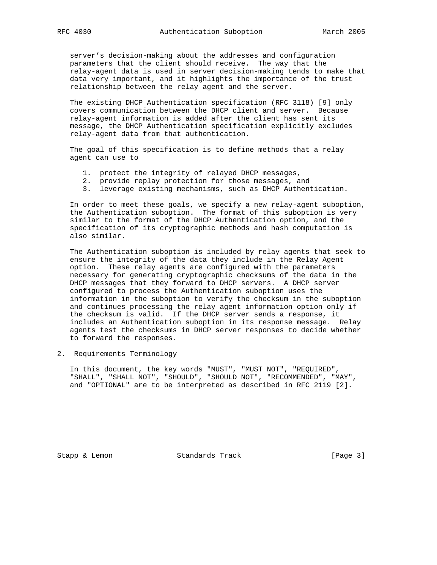server's decision-making about the addresses and configuration parameters that the client should receive. The way that the relay-agent data is used in server decision-making tends to make that data very important, and it highlights the importance of the trust relationship between the relay agent and the server.

 The existing DHCP Authentication specification (RFC 3118) [9] only covers communication between the DHCP client and server. Because relay-agent information is added after the client has sent its message, the DHCP Authentication specification explicitly excludes relay-agent data from that authentication.

 The goal of this specification is to define methods that a relay agent can use to

- 1. protect the integrity of relayed DHCP messages,
- 2. provide replay protection for those messages, and
- 3. leverage existing mechanisms, such as DHCP Authentication.

 In order to meet these goals, we specify a new relay-agent suboption, the Authentication suboption. The format of this suboption is very similar to the format of the DHCP Authentication option, and the specification of its cryptographic methods and hash computation is also similar.

 The Authentication suboption is included by relay agents that seek to ensure the integrity of the data they include in the Relay Agent option. These relay agents are configured with the parameters necessary for generating cryptographic checksums of the data in the DHCP messages that they forward to DHCP servers. A DHCP server configured to process the Authentication suboption uses the information in the suboption to verify the checksum in the suboption and continues processing the relay agent information option only if the checksum is valid. If the DHCP server sends a response, it includes an Authentication suboption in its response message. Relay agents test the checksums in DHCP server responses to decide whether to forward the responses.

2. Requirements Terminology

 In this document, the key words "MUST", "MUST NOT", "REQUIRED", "SHALL", "SHALL NOT", "SHOULD", "SHOULD NOT", "RECOMMENDED", "MAY", and "OPTIONAL" are to be interpreted as described in RFC 2119 [2].

Stapp & Lemon Standards Track [Page 3]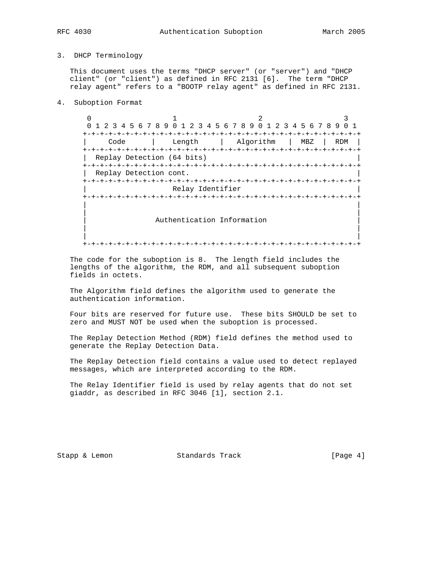## 3. DHCP Terminology

 This document uses the terms "DHCP server" (or "server") and "DHCP client" (or "client") as defined in RFC 2131 [6]. The term "DHCP relay agent" refers to a "BOOTP relay agent" as defined in RFC 2131.

4. Suboption Format

0  $1$  2 3 0 1 2 3 4 5 6 7 8 9 0 1 2 3 4 5 6 7 8 9 0 1 2 3 4 5 6 7 8 9 0 1 +-+-+-+-+-+-+-+-+-+-+-+-+-+-+-+-+-+-+-+-+-+-+-+-+-+-+-+-+-+-+-+-+ | Code | Length | Algorithm | MBZ | RDM | +-+-+-+-+-+-+-+-+-+-+-+-+-+-+-+-+-+-+-+-+-+-+-+-+-+-+-+-+-+-+-+-+ Replay Detection (64 bits) +-+-+-+-+-+-+-+-+-+-+-+-+-+-+-+-+-+-+-+-+-+-+-+-+-+-+-+-+-+-+-+-+ | Replay Detection cont. | +-+-+-+-+-+-+-+-+-+-+-+-+-+-+-+-+-+-+-+-+-+-+-+-+-+-+-+-+-+-+-+-+ Relay Identifier +-+-+-+-+-+-+-+-+-+-+-+-+-+-+-+-+-+-+-+-+-+-+-+-+-+-+-+-+-+-+-+-+ | | | | Authentication Information | | | | +-+-+-+-+-+-+-+-+-+-+-+-+-+-+-+-+-+-+-+-+-+-+-+-+-+-+-+-+-+-+-+-+

 The code for the suboption is 8. The length field includes the lengths of the algorithm, the RDM, and all subsequent suboption fields in octets.

 The Algorithm field defines the algorithm used to generate the authentication information.

 Four bits are reserved for future use. These bits SHOULD be set to zero and MUST NOT be used when the suboption is processed.

 The Replay Detection Method (RDM) field defines the method used to generate the Replay Detection Data.

 The Replay Detection field contains a value used to detect replayed messages, which are interpreted according to the RDM.

 The Relay Identifier field is used by relay agents that do not set giaddr, as described in RFC 3046 [1], section 2.1.

Stapp & Lemon Standards Track [Page 4]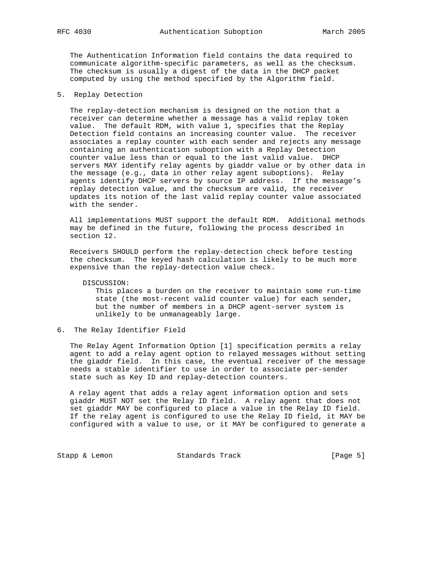The Authentication Information field contains the data required to communicate algorithm-specific parameters, as well as the checksum. The checksum is usually a digest of the data in the DHCP packet computed by using the method specified by the Algorithm field.

## 5. Replay Detection

 The replay-detection mechanism is designed on the notion that a receiver can determine whether a message has a valid replay token value. The default RDM, with value 1, specifies that the Replay Detection field contains an increasing counter value. The receiver associates a replay counter with each sender and rejects any message containing an authentication suboption with a Replay Detection counter value less than or equal to the last valid value. DHCP servers MAY identify relay agents by giaddr value or by other data in the message (e.g., data in other relay agent suboptions). Relay agents identify DHCP servers by source IP address. If the message's replay detection value, and the checksum are valid, the receiver updates its notion of the last valid replay counter value associated with the sender.

 All implementations MUST support the default RDM. Additional methods may be defined in the future, following the process described in section 12.

 Receivers SHOULD perform the replay-detection check before testing the checksum. The keyed hash calculation is likely to be much more expensive than the replay-detection value check.

DISCUSSION:

 This places a burden on the receiver to maintain some run-time state (the most-recent valid counter value) for each sender, but the number of members in a DHCP agent-server system is unlikely to be unmanageably large.

6. The Relay Identifier Field

 The Relay Agent Information Option [1] specification permits a relay agent to add a relay agent option to relayed messages without setting the giaddr field. In this case, the eventual receiver of the message needs a stable identifier to use in order to associate per-sender state such as Key ID and replay-detection counters.

 A relay agent that adds a relay agent information option and sets giaddr MUST NOT set the Relay ID field. A relay agent that does not set giaddr MAY be configured to place a value in the Relay ID field. If the relay agent is configured to use the Relay ID field, it MAY be configured with a value to use, or it MAY be configured to generate a

Stapp & Lemon Standards Track [Page 5]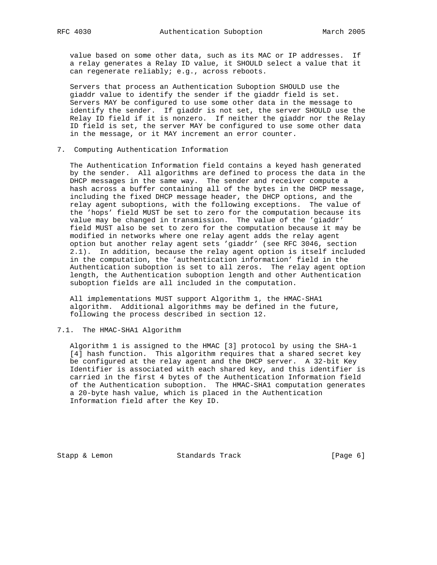value based on some other data, such as its MAC or IP addresses. If a relay generates a Relay ID value, it SHOULD select a value that it can regenerate reliably; e.g., across reboots.

 Servers that process an Authentication Suboption SHOULD use the giaddr value to identify the sender if the giaddr field is set. Servers MAY be configured to use some other data in the message to identify the sender. If giaddr is not set, the server SHOULD use the Relay ID field if it is nonzero. If neither the giaddr nor the Relay ID field is set, the server MAY be configured to use some other data in the message, or it MAY increment an error counter.

7. Computing Authentication Information

 The Authentication Information field contains a keyed hash generated by the sender. All algorithms are defined to process the data in the DHCP messages in the same way. The sender and receiver compute a hash across a buffer containing all of the bytes in the DHCP message, including the fixed DHCP message header, the DHCP options, and the relay agent suboptions, with the following exceptions. The value of the 'hops' field MUST be set to zero for the computation because its value may be changed in transmission. The value of the 'giaddr' field MUST also be set to zero for the computation because it may be modified in networks where one relay agent adds the relay agent option but another relay agent sets 'giaddr' (see RFC 3046, section 2.1). In addition, because the relay agent option is itself included in the computation, the 'authentication information' field in the Authentication suboption is set to all zeros. The relay agent option length, the Authentication suboption length and other Authentication suboption fields are all included in the computation.

 All implementations MUST support Algorithm 1, the HMAC-SHA1 algorithm. Additional algorithms may be defined in the future, following the process described in section 12.

## 7.1. The HMAC-SHA1 Algorithm

 Algorithm 1 is assigned to the HMAC [3] protocol by using the SHA-1 [4] hash function. This algorithm requires that a shared secret key be configured at the relay agent and the DHCP server. A 32-bit Key Identifier is associated with each shared key, and this identifier is carried in the first 4 bytes of the Authentication Information field of the Authentication suboption. The HMAC-SHA1 computation generates a 20-byte hash value, which is placed in the Authentication Information field after the Key ID.

Stapp & Lemon Standards Track [Page 6]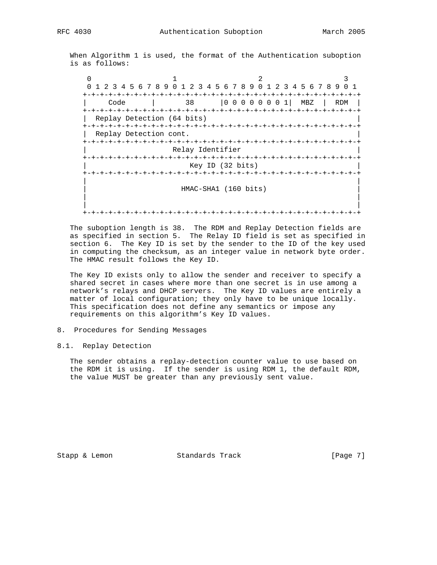When Algorithm 1 is used, the format of the Authentication suboption is as follows:

 $0$  1 2 3 0 1 2 3 4 5 6 7 8 9 0 1 2 3 4 5 6 7 8 9 0 1 2 3 4 5 6 7 8 9 0 1 +-+-+-+-+-+-+-+-+-+-+-+-+-+-+-+-+-+-+-+-+-+-+-+-+-+-+-+-+-+-+-+-+ | Code | 38 |0 0 0 0 0 0 0 1| MBZ | RDM | +-+-+-+-+-+-+-+-+-+-+-+-+-+-+-+-+-+-+-+-+-+-+-+-+-+-+-+-+-+-+-+-+ | Replay Detection (64 bits) | +-+-+-+-+-+-+-+-+-+-+-+-+-+-+-+-+-+-+-+-+-+-+-+-+-+-+-+-+-+-+-+-+ Replay Detection cont. +-+-+-+-+-+-+-+-+-+-+-+-+-+-+-+-+-+-+-+-+-+-+-+-+-+-+-+-+-+-+-+-+ Relay Identifier +-+-+-+-+-+-+-+-+-+-+-+-+-+-+-+-+-+-+-+-+-+-+-+-+-+-+-+-+-+-+-+-+ Key ID (32 bits) +-+-+-+-+-+-+-+-+-+-+-+-+-+-+-+-+-+-+-+-+-+-+-+-+-+-+-+-+-+-+-+-+ | | | HMAC-SHA1 (160 bits) | | | | | +-+-+-+-+-+-+-+-+-+-+-+-+-+-+-+-+-+-+-+-+-+-+-+-+-+-+-+-+-+-+-+-+

 The suboption length is 38. The RDM and Replay Detection fields are as specified in section 5. The Relay ID field is set as specified in section 6. The Key ID is set by the sender to the ID of the key used in computing the checksum, as an integer value in network byte order. The HMAC result follows the Key ID.

 The Key ID exists only to allow the sender and receiver to specify a shared secret in cases where more than one secret is in use among a network's relays and DHCP servers. The Key ID values are entirely a matter of local configuration; they only have to be unique locally. This specification does not define any semantics or impose any requirements on this algorithm's Key ID values.

- 8. Procedures for Sending Messages
- 8.1. Replay Detection

 The sender obtains a replay-detection counter value to use based on the RDM it is using. If the sender is using RDM 1, the default RDM, the value MUST be greater than any previously sent value.

Stapp & Lemon Standards Track [Page 7]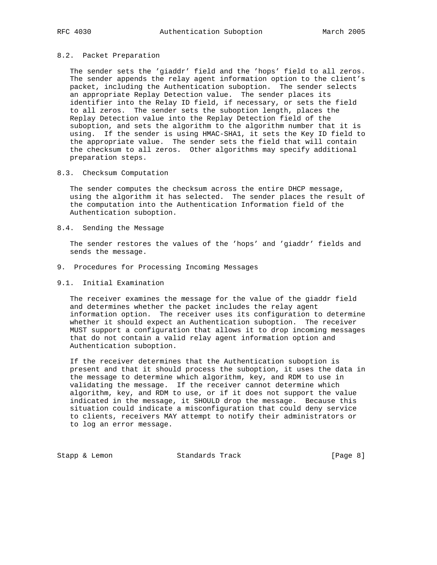### 8.2. Packet Preparation

 The sender sets the 'giaddr' field and the 'hops' field to all zeros. The sender appends the relay agent information option to the client's packet, including the Authentication suboption. The sender selects an appropriate Replay Detection value. The sender places its identifier into the Relay ID field, if necessary, or sets the field to all zeros. The sender sets the suboption length, places the Replay Detection value into the Replay Detection field of the suboption, and sets the algorithm to the algorithm number that it is using. If the sender is using HMAC-SHA1, it sets the Key ID field to the appropriate value. The sender sets the field that will contain the checksum to all zeros. Other algorithms may specify additional preparation steps.

### 8.3. Checksum Computation

 The sender computes the checksum across the entire DHCP message, using the algorithm it has selected. The sender places the result of the computation into the Authentication Information field of the Authentication suboption.

8.4. Sending the Message

 The sender restores the values of the 'hops' and 'giaddr' fields and sends the message.

- 9. Procedures for Processing Incoming Messages
- 9.1. Initial Examination

 The receiver examines the message for the value of the giaddr field and determines whether the packet includes the relay agent information option. The receiver uses its configuration to determine whether it should expect an Authentication suboption. The receiver MUST support a configuration that allows it to drop incoming messages that do not contain a valid relay agent information option and Authentication suboption.

 If the receiver determines that the Authentication suboption is present and that it should process the suboption, it uses the data in the message to determine which algorithm, key, and RDM to use in validating the message. If the receiver cannot determine which algorithm, key, and RDM to use, or if it does not support the value indicated in the message, it SHOULD drop the message. Because this situation could indicate a misconfiguration that could deny service to clients, receivers MAY attempt to notify their administrators or to log an error message.

Stapp & Lemon Standards Track [Page 8]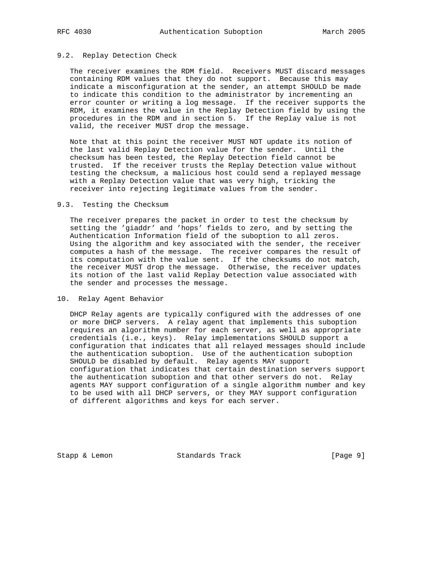### 9.2. Replay Detection Check

 The receiver examines the RDM field. Receivers MUST discard messages containing RDM values that they do not support. Because this may indicate a misconfiguration at the sender, an attempt SHOULD be made to indicate this condition to the administrator by incrementing an error counter or writing a log message. If the receiver supports the RDM, it examines the value in the Replay Detection field by using the procedures in the RDM and in section 5. If the Replay value is not valid, the receiver MUST drop the message.

 Note that at this point the receiver MUST NOT update its notion of the last valid Replay Detection value for the sender. Until the checksum has been tested, the Replay Detection field cannot be trusted. If the receiver trusts the Replay Detection value without testing the checksum, a malicious host could send a replayed message with a Replay Detection value that was very high, tricking the receiver into rejecting legitimate values from the sender.

#### 9.3. Testing the Checksum

 The receiver prepares the packet in order to test the checksum by setting the 'giaddr' and 'hops' fields to zero, and by setting the Authentication Information field of the suboption to all zeros. Using the algorithm and key associated with the sender, the receiver computes a hash of the message. The receiver compares the result of its computation with the value sent. If the checksums do not match, the receiver MUST drop the message. Otherwise, the receiver updates its notion of the last valid Replay Detection value associated with the sender and processes the message.

#### 10. Relay Agent Behavior

 DHCP Relay agents are typically configured with the addresses of one or more DHCP servers. A relay agent that implements this suboption requires an algorithm number for each server, as well as appropriate credentials (i.e., keys). Relay implementations SHOULD support a configuration that indicates that all relayed messages should include the authentication suboption. Use of the authentication suboption SHOULD be disabled by default. Relay agents MAY support configuration that indicates that certain destination servers support the authentication suboption and that other servers do not. Relay agents MAY support configuration of a single algorithm number and key to be used with all DHCP servers, or they MAY support configuration of different algorithms and keys for each server.

Stapp & Lemon Standards Track [Page 9]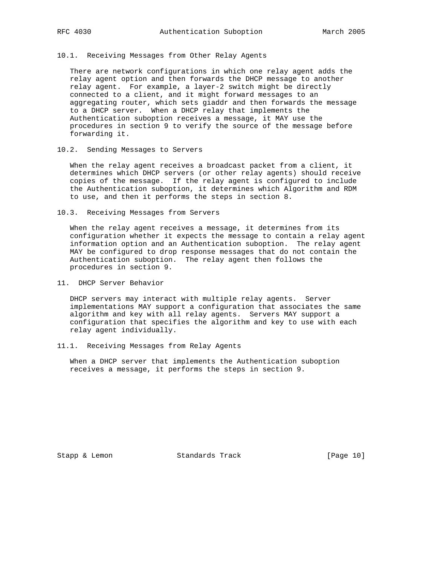## 10.1. Receiving Messages from Other Relay Agents

 There are network configurations in which one relay agent adds the relay agent option and then forwards the DHCP message to another relay agent. For example, a layer-2 switch might be directly connected to a client, and it might forward messages to an aggregating router, which sets giaddr and then forwards the message to a DHCP server. When a DHCP relay that implements the Authentication suboption receives a message, it MAY use the procedures in section 9 to verify the source of the message before forwarding it.

## 10.2. Sending Messages to Servers

 When the relay agent receives a broadcast packet from a client, it determines which DHCP servers (or other relay agents) should receive copies of the message. If the relay agent is configured to include the Authentication suboption, it determines which Algorithm and RDM to use, and then it performs the steps in section 8.

10.3. Receiving Messages from Servers

 When the relay agent receives a message, it determines from its configuration whether it expects the message to contain a relay agent information option and an Authentication suboption. The relay agent MAY be configured to drop response messages that do not contain the Authentication suboption. The relay agent then follows the procedures in section 9.

11. DHCP Server Behavior

 DHCP servers may interact with multiple relay agents. Server implementations MAY support a configuration that associates the same algorithm and key with all relay agents. Servers MAY support a configuration that specifies the algorithm and key to use with each relay agent individually.

11.1. Receiving Messages from Relay Agents

 When a DHCP server that implements the Authentication suboption receives a message, it performs the steps in section 9.

Stapp & Lemon Standards Track [Page 10]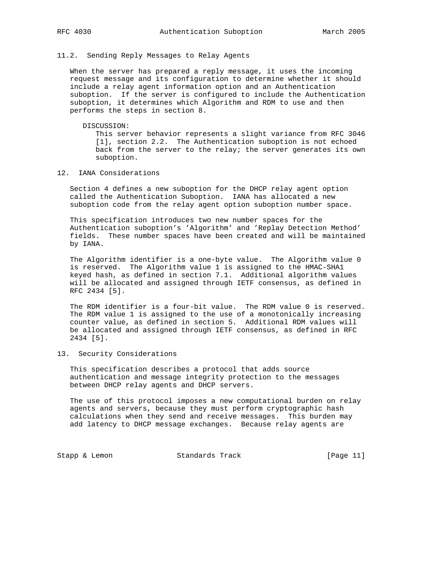## 11.2. Sending Reply Messages to Relay Agents

 When the server has prepared a reply message, it uses the incoming request message and its configuration to determine whether it should include a relay agent information option and an Authentication suboption. If the server is configured to include the Authentication suboption, it determines which Algorithm and RDM to use and then performs the steps in section 8.

#### DISCUSSION:

 This server behavior represents a slight variance from RFC 3046 [1], section 2.2. The Authentication suboption is not echoed back from the server to the relay; the server generates its own suboption.

## 12. IANA Considerations

 Section 4 defines a new suboption for the DHCP relay agent option called the Authentication Suboption. IANA has allocated a new suboption code from the relay agent option suboption number space.

 This specification introduces two new number spaces for the Authentication suboption's 'Algorithm' and 'Replay Detection Method' fields. These number spaces have been created and will be maintained by IANA.

 The Algorithm identifier is a one-byte value. The Algorithm value 0 is reserved. The Algorithm value 1 is assigned to the HMAC-SHA1 keyed hash, as defined in section 7.1. Additional algorithm values will be allocated and assigned through IETF consensus, as defined in RFC 2434 [5].

 The RDM identifier is a four-bit value. The RDM value 0 is reserved. The RDM value 1 is assigned to the use of a monotonically increasing counter value, as defined in section 5. Additional RDM values will be allocated and assigned through IETF consensus, as defined in RFC 2434 [5].

## 13. Security Considerations

 This specification describes a protocol that adds source authentication and message integrity protection to the messages between DHCP relay agents and DHCP servers.

 The use of this protocol imposes a new computational burden on relay agents and servers, because they must perform cryptographic hash calculations when they send and receive messages. This burden may add latency to DHCP message exchanges. Because relay agents are

Stapp & Lemon Standards Track [Page 11]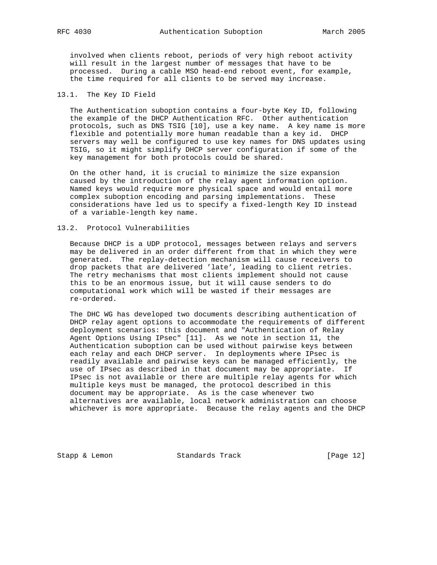involved when clients reboot, periods of very high reboot activity will result in the largest number of messages that have to be processed. During a cable MSO head-end reboot event, for example, the time required for all clients to be served may increase.

## 13.1. The Key ID Field

 The Authentication suboption contains a four-byte Key ID, following the example of the DHCP Authentication RFC. Other authentication protocols, such as DNS TSIG [10], use a key name. A key name is more flexible and potentially more human readable than a key id. DHCP servers may well be configured to use key names for DNS updates using TSIG, so it might simplify DHCP server configuration if some of the key management for both protocols could be shared.

 On the other hand, it is crucial to minimize the size expansion caused by the introduction of the relay agent information option. Named keys would require more physical space and would entail more complex suboption encoding and parsing implementations. These considerations have led us to specify a fixed-length Key ID instead of a variable-length key name.

### 13.2. Protocol Vulnerabilities

 Because DHCP is a UDP protocol, messages between relays and servers may be delivered in an order different from that in which they were generated. The replay-detection mechanism will cause receivers to drop packets that are delivered 'late', leading to client retries. The retry mechanisms that most clients implement should not cause this to be an enormous issue, but it will cause senders to do computational work which will be wasted if their messages are re-ordered.

 The DHC WG has developed two documents describing authentication of DHCP relay agent options to accommodate the requirements of different deployment scenarios: this document and "Authentication of Relay Agent Options Using IPsec" [11]. As we note in section 11, the Authentication suboption can be used without pairwise keys between each relay and each DHCP server. In deployments where IPsec is readily available and pairwise keys can be managed efficiently, the use of IPsec as described in that document may be appropriate. If IPsec is not available or there are multiple relay agents for which multiple keys must be managed, the protocol described in this document may be appropriate. As is the case whenever two alternatives are available, local network administration can choose whichever is more appropriate. Because the relay agents and the DHCP

Stapp & Lemon Standards Track [Page 12]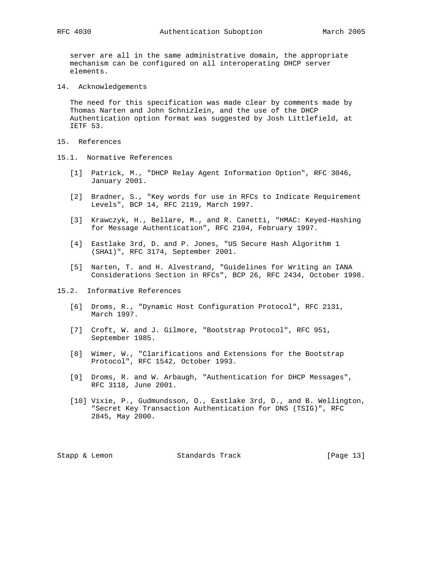server are all in the same administrative domain, the appropriate mechanism can be configured on all interoperating DHCP server elements.

14. Acknowledgements

 The need for this specification was made clear by comments made by Thomas Narten and John Schnizlein, and the use of the DHCP Authentication option format was suggested by Josh Littlefield, at IETF 53.

- 15. References
- 15.1. Normative References
	- [1] Patrick, M., "DHCP Relay Agent Information Option", RFC 3046, January 2001.
	- [2] Bradner, S., "Key words for use in RFCs to Indicate Requirement Levels", BCP 14, RFC 2119, March 1997.
	- [3] Krawczyk, H., Bellare, M., and R. Canetti, "HMAC: Keyed-Hashing for Message Authentication", RFC 2104, February 1997.
	- [4] Eastlake 3rd, D. and P. Jones, "US Secure Hash Algorithm 1 (SHA1)", RFC 3174, September 2001.
	- [5] Narten, T. and H. Alvestrand, "Guidelines for Writing an IANA Considerations Section in RFCs", BCP 26, RFC 2434, October 1998.
- 15.2. Informative References
	- [6] Droms, R., "Dynamic Host Configuration Protocol", RFC 2131, March 1997.
	- [7] Croft, W. and J. Gilmore, "Bootstrap Protocol", RFC 951, September 1985.
	- [8] Wimer, W., "Clarifications and Extensions for the Bootstrap Protocol", RFC 1542, October 1993.
	- [9] Droms, R. and W. Arbaugh, "Authentication for DHCP Messages", RFC 3118, June 2001.
	- [10] Vixie, P., Gudmundsson, O., Eastlake 3rd, D., and B. Wellington, "Secret Key Transaction Authentication for DNS (TSIG)", RFC 2845, May 2000.

Stapp & Lemon Standards Track [Page 13]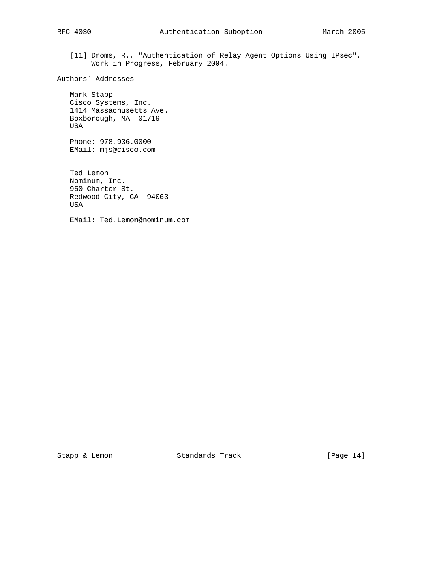[11] Droms, R., "Authentication of Relay Agent Options Using IPsec", Work in Progress, February 2004.

Authors' Addresses

 Mark Stapp Cisco Systems, Inc. 1414 Massachusetts Ave. Boxborough, MA 01719 USA

 Phone: 978.936.0000 EMail: mjs@cisco.com

 Ted Lemon Nominum, Inc. 950 Charter St. Redwood City, CA 94063 USA

EMail: Ted.Lemon@nominum.com

Stapp & Lemon Standards Track [Page 14]